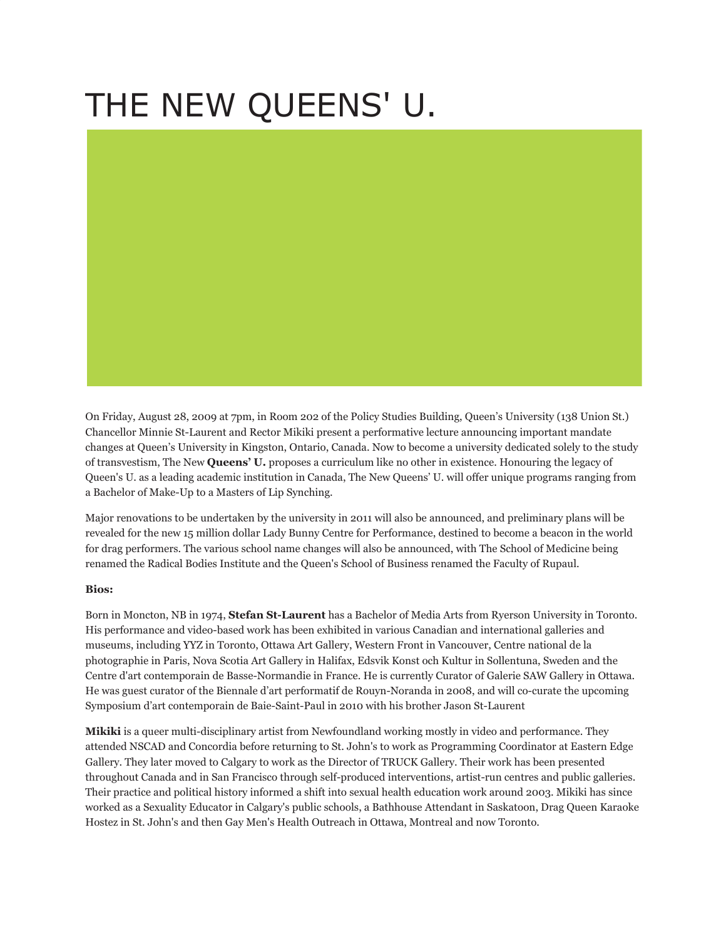## THE NEW QUEENS' U.

On Friday, August 28, 2009 at 7pm, in Room 202 of the Policy Studies Building, Queen's University (138 Union St.) Chancellor Minnie St-Laurent and Rector Mikiki present a performative lecture announcing important mandate changes at Queen's University in Kingston, Ontario, Canada. Now to become a university dedicated solely to the study of transvestism, The New **Queens' U.** proposes a curriculum like no other in existence. Honouring the legacy of Queen's U. as a leading academic institution in Canada, The New Queens' U. will offer unique programs ranging from a Bachelor of Make-Up to a Masters of Lip Synching.

Major renovations to be undertaken by the university in 2011 will also be announced, and preliminary plans will be revealed for the new 15 million dollar Lady Bunny Centre for Performance, destined to become a beacon in the world for drag performers. The various school name changes will also be announced, with The School of Medicine being renamed the Radical Bodies Institute and the Queen's School of Business renamed the Faculty of Rupaul.

## **Bios:**

Born in Moncton, NB in 1974, **Stefan St-Laurent** has a Bachelor of Media Arts from Ryerson University in Toronto. His performance and video-based work has been exhibited in various Canadian and international galleries and museums, including YYZ in Toronto, Ottawa Art Gallery, Western Front in Vancouver, Centre national de la photographie in Paris, Nova Scotia Art Gallery in Halifax, Edsvik Konst och Kultur in Sollentuna, Sweden and the Centre d'art contemporain de Basse-Normandie in France. He is currently Curator of Galerie SAW Gallery in Ottawa. He was guest curator of the Biennale d'art performatif de Rouyn-Noranda in 2008, and will co-curate the upcoming Symposium d'art contemporain de Baie-Saint-Paul in 2010 with his brother Jason St-Laurent

**Mikiki** is a queer multi-disciplinary artist from Newfoundland working mostly in video and performance. They attended NSCAD and Concordia before returning to St. John's to work as Programming Coordinator at Eastern Edge Gallery. They later moved to Calgary to work as the Director of TRUCK Gallery. Their work has been presented throughout Canada and in San Francisco through self-produced interventions, artist-run centres and public galleries. Their practice and political history informed a shift into sexual health education work around 2003. Mikiki has since worked as a Sexuality Educator in Calgary's public schools, a Bathhouse Attendant in Saskatoon, Drag Queen Karaoke Hostez in St. John's and then Gay Men's Health Outreach in Ottawa, Montreal and now Toronto.